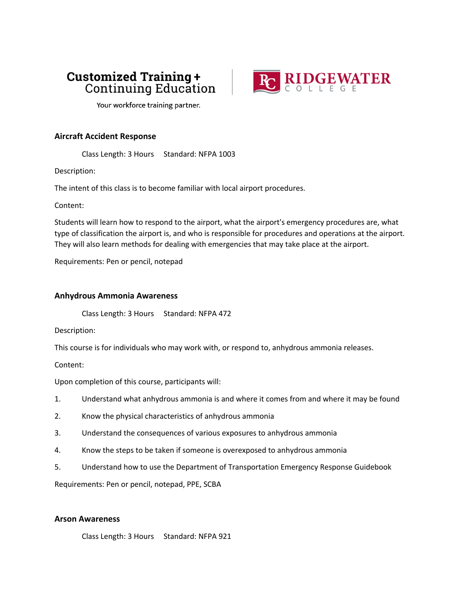# **Customized Training + Continuing Education**



Your workforce training partner.

### **Aircraft Accident Response**

Class Length: 3 Hours Standard: NFPA 1003

Description:

The intent of this class is to become familiar with local airport procedures.

Content:

Students will learn how to respond to the airport, what the airport's emergency procedures are, what type of classification the airport is, and who is responsible for procedures and operations at the airport. They will also learn methods for dealing with emergencies that may take place at the airport.

Requirements: Pen or pencil, notepad

### **Anhydrous Ammonia Awareness**

Class Length: 3 Hours Standard: NFPA 472

Description:

This course is for individuals who may work with, or respond to, anhydrous ammonia releases.

Content:

Upon completion of this course, participants will:

1. Understand what anhydrous ammonia is and where it comes from and where it may be found

- 2. Know the physical characteristics of anhydrous ammonia
- 3. Understand the consequences of various exposures to anhydrous ammonia
- 4. Know the steps to be taken if someone is overexposed to anhydrous ammonia
- 5. Understand how to use the Department of Transportation Emergency Response Guidebook

Requirements: Pen or pencil, notepad, PPE, SCBA

### **Arson Awareness**

Class Length: 3 Hours Standard: NFPA 921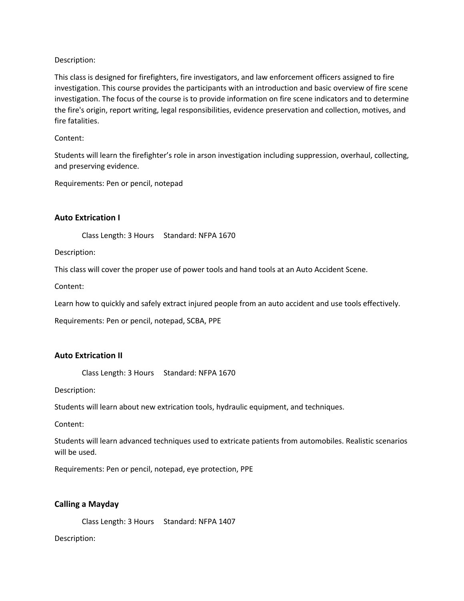This class is designed for firefighters, fire investigators, and law enforcement officers assigned to fire investigation. This course provides the participants with an introduction and basic overview of fire scene investigation. The focus of the course is to provide information on fire scene indicators and to determine the fire's origin, report writing, legal responsibilities, evidence preservation and collection, motives, and fire fatalities.

### Content:

Students will learn the firefighter's role in arson investigation including suppression, overhaul, collecting, and preserving evidence.

Requirements: Pen or pencil, notepad

## **Auto Extrication I**

Class Length: 3 Hours Standard: NFPA 1670

Description:

This class will cover the proper use of power tools and hand tools at an Auto Accident Scene.

Content:

Learn how to quickly and safely extract injured people from an auto accident and use tools effectively.

Requirements: Pen or pencil, notepad, SCBA, PPE

### **Auto Extrication II**

Class Length: 3 Hours Standard: NFPA 1670

Description:

Students will learn about new extrication tools, hydraulic equipment, and techniques.

Content:

Students will learn advanced techniques used to extricate patients from automobiles. Realistic scenarios will be used.

Requirements: Pen or pencil, notepad, eye protection, PPE

### **Calling a Mayday**

Class Length: 3 Hours Standard: NFPA 1407

### Description: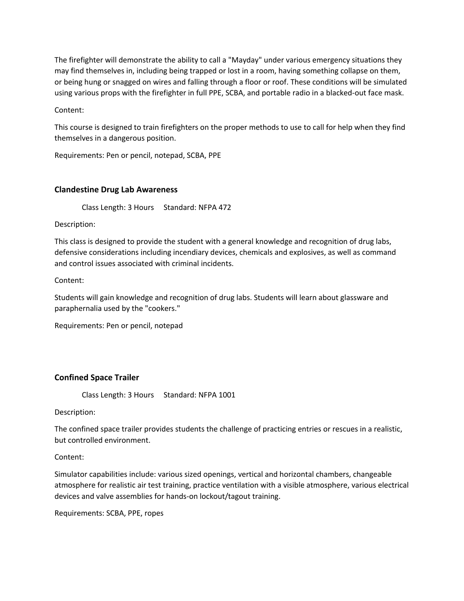The firefighter will demonstrate the ability to call a "Mayday" under various emergency situations they may find themselves in, including being trapped or lost in a room, having something collapse on them, or being hung or snagged on wires and falling through a floor or roof. These conditions will be simulated using various props with the firefighter in full PPE, SCBA, and portable radio in a blacked-out face mask.

Content:

This course is designed to train firefighters on the proper methods to use to call for help when they find themselves in a dangerous position.

Requirements: Pen or pencil, notepad, SCBA, PPE

### **Clandestine Drug Lab Awareness**

Class Length: 3 Hours Standard: NFPA 472

Description:

This class is designed to provide the student with a general knowledge and recognition of drug labs, defensive considerations including incendiary devices, chemicals and explosives, as well as command and control issues associated with criminal incidents.

Content:

Students will gain knowledge and recognition of drug labs. Students will learn about glassware and paraphernalia used by the "cookers."

Requirements: Pen or pencil, notepad

### **Confined Space Trailer**

Class Length: 3 Hours Standard: NFPA 1001

Description:

The confined space trailer provides students the challenge of practicing entries or rescues in a realistic, but controlled environment.

Content:

Simulator capabilities include: various sized openings, vertical and horizontal chambers, changeable atmosphere for realistic air test training, practice ventilation with a visible atmosphere, various electrical devices and valve assemblies for hands-on lockout/tagout training.

Requirements: SCBA, PPE, ropes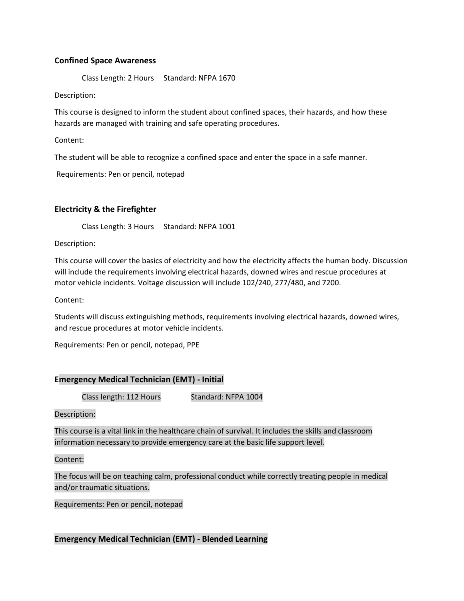### **Confined Space Awareness**

Class Length: 2 Hours Standard: NFPA 1670

Description:

This course is designed to inform the student about confined spaces, their hazards, and how these hazards are managed with training and safe operating procedures.

Content:

The student will be able to recognize a confined space and enter the space in a safe manner.

Requirements: Pen or pencil, notepad

# **Electricity & the Firefighter**

Class Length: 3 Hours Standard: NFPA 1001

Description:

This course will cover the basics of electricity and how the electricity affects the human body. Discussion will include the requirements involving electrical hazards, downed wires and rescue procedures at motor vehicle incidents. Voltage discussion will include 102/240, 277/480, and 7200.

Content:

Students will discuss extinguishing methods, requirements involving electrical hazards, downed wires, and rescue procedures at motor vehicle incidents.

Requirements: Pen or pencil, notepad, PPE

### **Emergency Medical Technician (EMT) - Initial**

Class length: 112 Hours Standard: NFPA 1004

Description:

This course is a vital link in the healthcare chain of survival. It includes the skills and classroom information necessary to provide emergency care at the basic life support level.

Content:

The focus will be on teaching calm, professional conduct while correctly treating people in medical and/or traumatic situations.

Requirements: Pen or pencil, notepad

### **Emergency Medical Technician (EMT) - Blended Learning**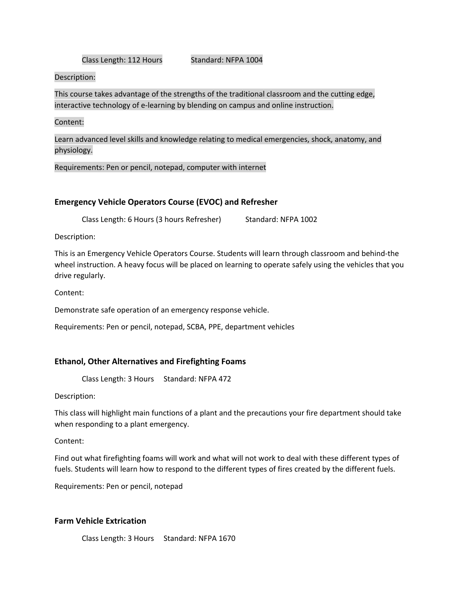#### Class Length: 112 Hours Standard: NFPA 1004

### Description:

This course takes advantage of the strengths of the traditional classroom and the cutting edge, interactive technology of e-learning by blending on campus and online instruction.

#### Content:

Learn advanced level skills and knowledge relating to medical emergencies, shock, anatomy, and physiology.

Requirements: Pen or pencil, notepad, computer with internet

### **Emergency Vehicle Operators Course (EVOC) and Refresher**

Class Length: 6 Hours (3 hours Refresher) Standard: NFPA 1002

Description:

This is an Emergency Vehicle Operators Course. Students will learn through classroom and behind-the wheel instruction. A heavy focus will be placed on learning to operate safely using the vehicles that you drive regularly.

Content:

Demonstrate safe operation of an emergency response vehicle.

Requirements: Pen or pencil, notepad, SCBA, PPE, department vehicles

### **Ethanol, Other Alternatives and Firefighting Foams**

Class Length: 3 Hours Standard: NFPA 472

Description:

This class will highlight main functions of a plant and the precautions your fire department should take when responding to a plant emergency.

Content:

Find out what firefighting foams will work and what will not work to deal with these different types of fuels. Students will learn how to respond to the different types of fires created by the different fuels.

Requirements: Pen or pencil, notepad

### **Farm Vehicle Extrication**

Class Length: 3 Hours Standard: NFPA 1670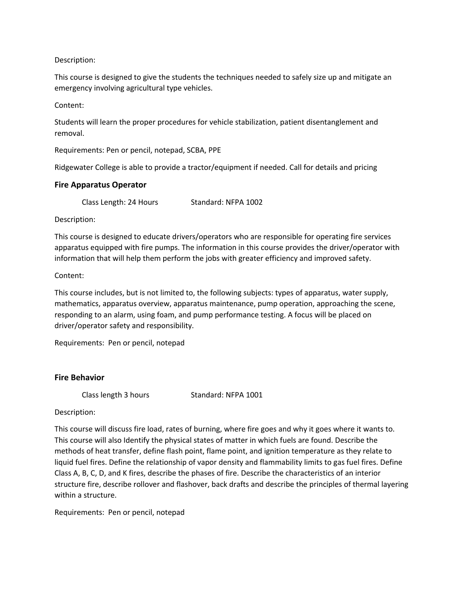This course is designed to give the students the techniques needed to safely size up and mitigate an emergency involving agricultural type vehicles.

Content:

Students will learn the proper procedures for vehicle stabilization, patient disentanglement and removal.

Requirements: Pen or pencil, notepad, SCBA, PPE

Ridgewater College is able to provide a tractor/equipment if needed. Call for details and pricing

#### **Fire Apparatus Operator**

Class Length: 24 Hours Standard: NFPA 1002

Description:

This course is designed to educate drivers/operators who are responsible for operating fire services apparatus equipped with fire pumps. The information in this course provides the driver/operator with information that will help them perform the jobs with greater efficiency and improved safety.

#### Content:

This course includes, but is not limited to, the following subjects: types of apparatus, water supply, mathematics, apparatus overview, apparatus maintenance, pump operation, approaching the scene, responding to an alarm, using foam, and pump performance testing. A focus will be placed on driver/operator safety and responsibility.

Requirements: Pen or pencil, notepad

### **Fire Behavior**

Class length 3 hours Standard: NFPA 1001

Description:

This course will discuss fire load, rates of burning, where fire goes and why it goes where it wants to. This course will also Identify the physical states of matter in which fuels are found. Describe the methods of heat transfer, define flash point, flame point, and ignition temperature as they relate to liquid fuel fires. Define the relationship of vapor density and flammability limits to gas fuel fires. Define Class A, B, C, D, and K fires, describe the phases of fire. Describe the characteristics of an interior structure fire, describe rollover and flashover, back drafts and describe the principles of thermal layering within a structure.

Requirements: Pen or pencil, notepad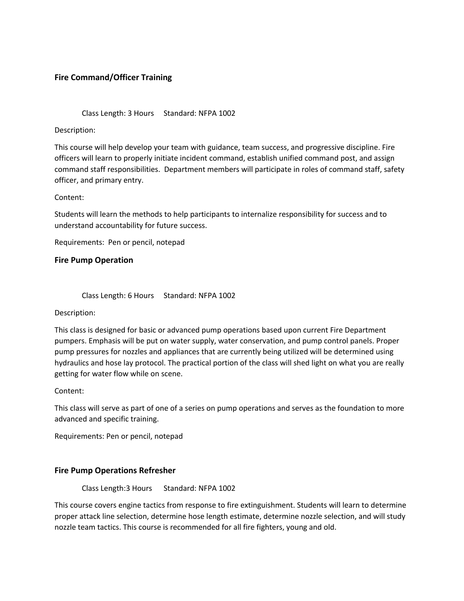## **Fire Command/Officer Training**

Class Length: 3 Hours Standard: NFPA 1002

Description:

This course will help develop your team with guidance, team success, and progressive discipline. Fire officers will learn to properly initiate incident command, establish unified command post, and assign command staff responsibilities. Department members will participate in roles of command staff, safety officer, and primary entry.

Content:

Students will learn the methods to help participants to internalize responsibility for success and to understand accountability for future success.

Requirements: Pen or pencil, notepad

#### **Fire Pump Operation**

Class Length: 6 Hours Standard: NFPA 1002

Description:

This class is designed for basic or advanced pump operations based upon current Fire Department pumpers. Emphasis will be put on water supply, water conservation, and pump control panels. Proper pump pressures for nozzles and appliances that are currently being utilized will be determined using hydraulics and hose lay protocol. The practical portion of the class will shed light on what you are really getting for water flow while on scene.

Content:

This class will serve as part of one of a series on pump operations and serves as the foundation to more advanced and specific training.

Requirements: Pen or pencil, notepad

### **Fire Pump Operations Refresher**

Class Length:3 Hours Standard: NFPA 1002

This course covers engine tactics from response to fire extinguishment. Students will learn to determine proper attack line selection, determine hose length estimate, determine nozzle selection, and will study nozzle team tactics. This course is recommended for all fire fighters, young and old.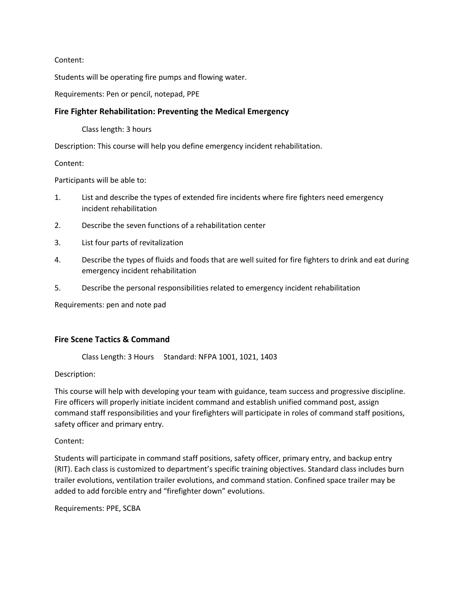Content:

Students will be operating fire pumps and flowing water.

Requirements: Pen or pencil, notepad, PPE

### **Fire Fighter Rehabilitation: Preventing the Medical Emergency**

Class length: 3 hours

Description: This course will help you define emergency incident rehabilitation.

Content:

Participants will be able to:

- 1. List and describe the types of extended fire incidents where fire fighters need emergency incident rehabilitation
- 2. Describe the seven functions of a rehabilitation center
- 3. List four parts of revitalization
- 4. Describe the types of fluids and foods that are well suited for fire fighters to drink and eat during emergency incident rehabilitation
- 5. Describe the personal responsibilities related to emergency incident rehabilitation

Requirements: pen and note pad

### **Fire Scene Tactics & Command**

Class Length: 3 Hours Standard: NFPA 1001, 1021, 1403

Description:

This course will help with developing your team with guidance, team success and progressive discipline. Fire officers will properly initiate incident command and establish unified command post, assign command staff responsibilities and your firefighters will participate in roles of command staff positions, safety officer and primary entry.

Content:

Students will participate in command staff positions, safety officer, primary entry, and backup entry (RIT). Each class is customized to department's specific training objectives. Standard class includes burn trailer evolutions, ventilation trailer evolutions, and command station. Confined space trailer may be added to add forcible entry and "firefighter down" evolutions.

Requirements: PPE, SCBA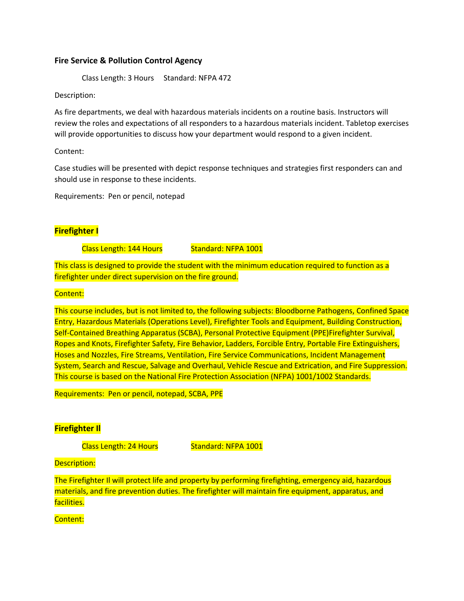### **Fire Service & Pollution Control Agency**

Class Length: 3 Hours Standard: NFPA 472

Description:

As fire departments, we deal with hazardous materials incidents on a routine basis. Instructors will review the roles and expectations of all responders to a hazardous materials incident. Tabletop exercises will provide opportunities to discuss how your department would respond to a given incident.

Content:

Case studies will be presented with depict response techniques and strategies first responders can and should use in response to these incidents.

Requirements: Pen or pencil, notepad

# **Firefighter I**

Class Length: 144 Hours Standard: NFPA 1001

This class is designed to provide the student with the minimum education required to function as a firefighter under direct supervision on the fire ground.

### Content:

This course includes, but is not limited to, the following subjects: Bloodborne Pathogens, Confined Space Entry, Hazardous Materials (Operations Level), Firefighter Tools and Equipment, Building Construction, Self-Contained Breathing Apparatus (SCBA), Personal Protective Equipment (PPE)Firefighter Survival, Ropes and Knots, Firefighter Safety, Fire Behavior, Ladders, Forcible Entry, Portable Fire Extinguishers, Hoses and Nozzles, Fire Streams, Ventilation, Fire Service Communications, Incident Management System, Search and Rescue, Salvage and Overhaul, Vehicle Rescue and Extrication, and Fire Suppression. This course is based on the National Fire Protection Association (NFPA) 1001/1002 Standards.

Requirements: Pen or pencil, notepad, SCBA, PPE

# **Firefighter Il**

Class Length: 24 Hours Standard: NFPA 1001

### Description:

The Firefighter Il will protect life and property by performing firefighting, emergency aid, hazardous materials, and fire prevention duties. The firefighter will maintain fire equipment, apparatus, and facilities.

Content: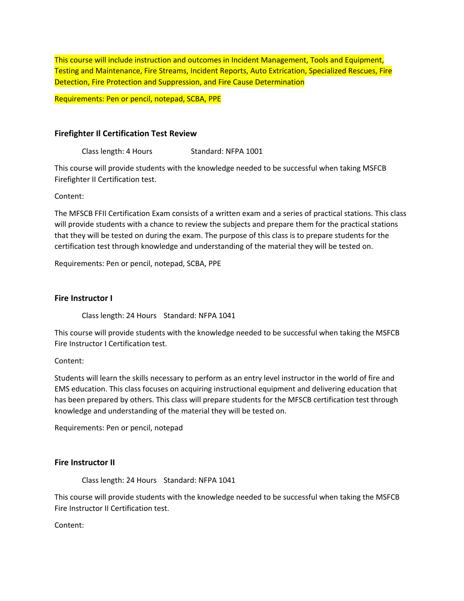This course will include instruction and outcomes in Incident Management, Tools and Equipment, Testing and Maintenance, Fire Streams, Incident Reports, Auto Extrication, Specialized Rescues, Fire Detection, Fire Protection and Suppression, and Fire Cause Determination

Requirements: Pen or pencil, notepad, SCBA, PPE

### **Firefighter Il Certification Test Review**

Class length: 4 Hours Standard: NFPA 1001

This course will provide students with the knowledge needed to be successful when taking MSFCB Firefighter II Certification test.

Content:

The MFSCB FFII Certification Exam consists of a written exam and a series of practical stations. This class will provide students with a chance to review the subjects and prepare them for the practical stations that they will be tested on during the exam. The purpose of this class is to prepare students for the certification test through knowledge and understanding of the material they will be tested on.

Requirements: Pen or pencil, notepad, SCBA, PPE

#### **Fire Instructor I**

Class length: 24 Hours Standard: NFPA 1041

This course will provide students with the knowledge needed to be successful when taking the MSFCB Fire Instructor I Certification test.

Content:

Students will learn the skills necessary to perform as an entry level instructor in the world of fire and EMS education. This class focuses on acquiring instructional equipment and delivering education that has been prepared by others. This class will prepare students for the MFSCB certification test through knowledge and understanding of the material they will be tested on.

Requirements: Pen or pencil, notepad

### **Fire Instructor II**

Class length: 24 Hours Standard: NFPA 1041

This course will provide students with the knowledge needed to be successful when taking the MSFCB Fire Instructor II Certification test.

Content: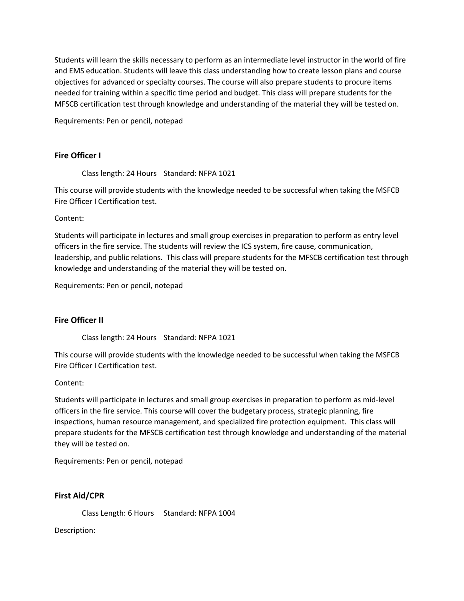Students will learn the skills necessary to perform as an intermediate level instructor in the world of fire and EMS education. Students will leave this class understanding how to create lesson plans and course objectives for advanced or specialty courses. The course will also prepare students to procure items needed for training within a specific time period and budget. This class will prepare students for the MFSCB certification test through knowledge and understanding of the material they will be tested on.

Requirements: Pen or pencil, notepad

### **Fire Officer I**

Class length: 24 Hours Standard: NFPA 1021

This course will provide students with the knowledge needed to be successful when taking the MSFCB Fire Officer I Certification test.

Content:

Students will participate in lectures and small group exercises in preparation to perform as entry level officers in the fire service. The students will review the ICS system, fire cause, communication, leadership, and public relations. This class will prepare students for the MFSCB certification test through knowledge and understanding of the material they will be tested on.

Requirements: Pen or pencil, notepad

### **Fire Officer II**

Class length: 24 Hours Standard: NFPA 1021

This course will provide students with the knowledge needed to be successful when taking the MSFCB Fire Officer I Certification test.

### Content:

Students will participate in lectures and small group exercises in preparation to perform as mid-level officers in the fire service. This course will cover the budgetary process, strategic planning, fire inspections, human resource management, and specialized fire protection equipment. This class will prepare students for the MFSCB certification test through knowledge and understanding of the material they will be tested on.

Requirements: Pen or pencil, notepad

### **First Aid/CPR**

Class Length: 6 Hours Standard: NFPA 1004

Description: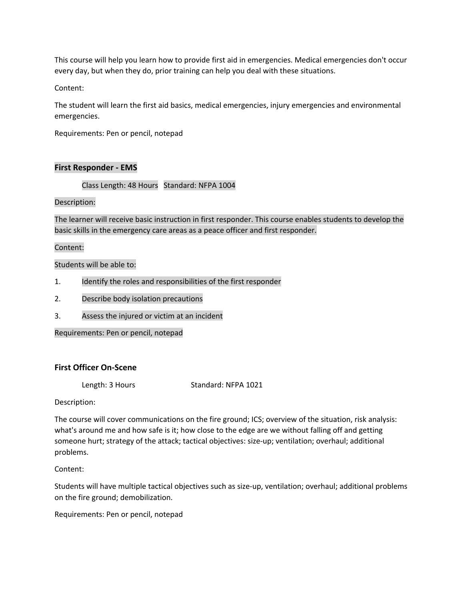This course will help you learn how to provide first aid in emergencies. Medical emergencies don't occur every day, but when they do, prior training can help you deal with these situations.

Content:

The student will learn the first aid basics, medical emergencies, injury emergencies and environmental emergencies.

Requirements: Pen or pencil, notepad

### **First Responder - EMS**

Class Length: 48 Hours Standard: NFPA 1004

### Description:

The learner will receive basic instruction in first responder. This course enables students to develop the basic skills in the emergency care areas as a peace officer and first responder.

### Content:

### Students will be able to:

- 1. Identify the roles and responsibilities of the first responder
- 2. Describe body isolation precautions
- 3. Assess the injured or victim at an incident

Requirements: Pen or pencil, notepad

### **First Officer On-Scene**

Length: 3 Hours Standard: NFPA 1021

Description:

The course will cover communications on the fire ground; ICS; overview of the situation, risk analysis: what's around me and how safe is it; how close to the edge are we without falling off and getting someone hurt; strategy of the attack; tactical objectives: size-up; ventilation; overhaul; additional problems.

Content:

Students will have multiple tactical objectives such as size-up, ventilation; overhaul; additional problems on the fire ground; demobilization.

Requirements: Pen or pencil, notepad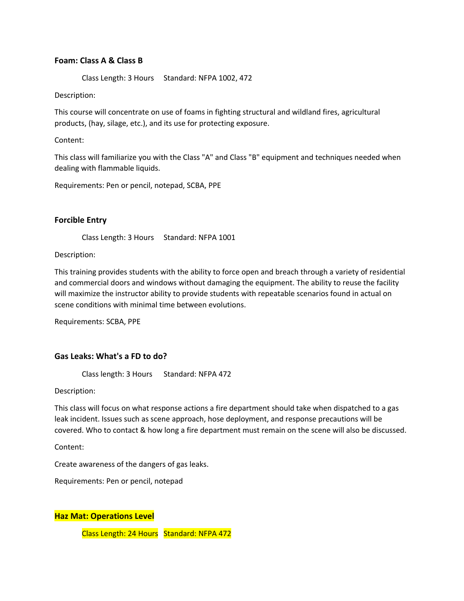### **Foam: Class A & Class B**

Class Length: 3 Hours Standard: NFPA 1002, 472

Description:

This course will concentrate on use of foams in fighting structural and wildland fires, agricultural products, (hay, silage, etc.), and its use for protecting exposure.

Content:

This class will familiarize you with the Class "A" and Class "B" equipment and techniques needed when dealing with flammable liquids.

Requirements: Pen or pencil, notepad, SCBA, PPE

#### **Forcible Entry**

Class Length: 3 Hours Standard: NFPA 1001

Description:

This training provides students with the ability to force open and breach through a variety of residential and commercial doors and windows without damaging the equipment. The ability to reuse the facility will maximize the instructor ability to provide students with repeatable scenarios found in actual on scene conditions with minimal time between evolutions.

Requirements: SCBA, PPE

### **Gas Leaks: What's a FD to do?**

Class length: 3 Hours Standard: NFPA 472

Description:

This class will focus on what response actions a fire department should take when dispatched to a gas leak incident. Issues such as scene approach, hose deployment, and response precautions will be covered. Who to contact & how long a fire department must remain on the scene will also be discussed.

Content:

Create awareness of the dangers of gas leaks.

Requirements: Pen or pencil, notepad

**Haz Mat: Operations Level**

Class Length: 24 Hours Standard: NFPA 472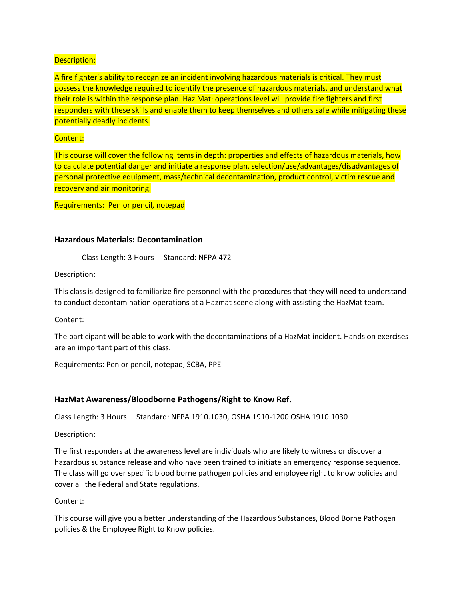A fire fighter's ability to recognize an incident involving hazardous materials is critical. They must possess the knowledge required to identify the presence of hazardous materials, and understand what their role is within the response plan. Haz Mat: operations level will provide fire fighters and first responders with these skills and enable them to keep themselves and others safe while mitigating these potentially deadly incidents.

### Content:

This course will cover the following items in depth: properties and effects of hazardous materials, how to calculate potential danger and initiate a response plan, selection/use/advantages/disadvantages of personal protective equipment, mass/technical decontamination, product control, victim rescue and recovery and air monitoring.

Requirements: Pen or pencil, notepad

### **Hazardous Materials: Decontamination**

Class Length: 3 Hours Standard: NFPA 472

Description:

This class is designed to familiarize fire personnel with the procedures that they will need to understand to conduct decontamination operations at a Hazmat scene along with assisting the HazMat team.

Content:

The participant will be able to work with the decontaminations of a HazMat incident. Hands on exercises are an important part of this class.

Requirements: Pen or pencil, notepad, SCBA, PPE

### **HazMat Awareness/Bloodborne Pathogens/Right to Know Ref.**

Class Length: 3 Hours Standard: NFPA 1910.1030, OSHA 1910-1200 OSHA 1910.1030

Description:

The first responders at the awareness level are individuals who are likely to witness or discover a hazardous substance release and who have been trained to initiate an emergency response sequence. The class will go over specific blood borne pathogen policies and employee right to know policies and cover all the Federal and State regulations.

Content:

This course will give you a better understanding of the Hazardous Substances, Blood Borne Pathogen policies & the Employee Right to Know policies.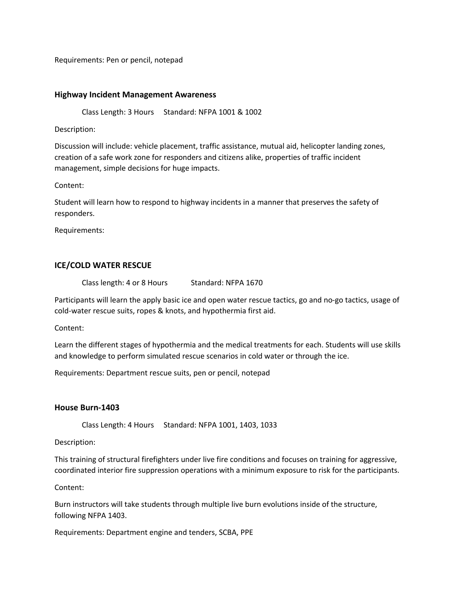Requirements: Pen or pencil, notepad

#### **Highway Incident Management Awareness**

Class Length: 3 Hours Standard: NFPA 1001 & 1002

Description:

Discussion will include: vehicle placement, traffic assistance, mutual aid, helicopter landing zones, creation of a safe work zone for responders and citizens alike, properties of traffic incident management, simple decisions for huge impacts.

Content:

Student will learn how to respond to highway incidents in a manner that preserves the safety of responders.

Requirements:

### **ICE/COLD WATER RESCUE**

Class length: 4 or 8 Hours Standard: NFPA 1670

Participants will learn the apply basic ice and open water rescue tactics, go and no-go tactics, usage of cold-water rescue suits, ropes & knots, and hypothermia first aid.

Content:

Learn the different stages of hypothermia and the medical treatments for each. Students will use skills and knowledge to perform simulated rescue scenarios in cold water or through the ice.

Requirements: Department rescue suits, pen or pencil, notepad

#### **House Burn-1403**

Class Length: 4 Hours Standard: NFPA 1001, 1403, 1033

Description:

This training of structural firefighters under live fire conditions and focuses on training for aggressive, coordinated interior fire suppression operations with a minimum exposure to risk for the participants.

Content:

Burn instructors will take students through multiple live burn evolutions inside of the structure, following NFPA 1403.

Requirements: Department engine and tenders, SCBA, PPE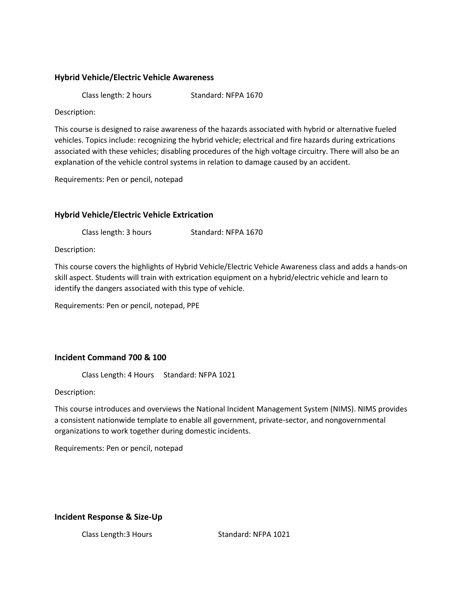### **Hybrid Vehicle/Electric Vehicle Awareness**

Class length: 2 hours Standard: NFPA 1670

Description:

This course is designed to raise awareness of the hazards associated with hybrid or alternative fueled vehicles. Topics include: recognizing the hybrid vehicle; electrical and fire hazards during extrications associated with these vehicles; disabling procedures of the high voltage circuitry. There will also be an explanation of the vehicle control systems in relation to damage caused by an accident.

Requirements: Pen or pencil, notepad

# **Hybrid Vehicle/Electric Vehicle Extrication**

Class length: 3 hours Standard: NFPA 1670

Description:

This course covers the highlights of Hybrid Vehicle/Electric Vehicle Awareness class and adds a hands-on skill aspect. Students will train with extrication equipment on a hybrid/electric vehicle and learn to identify the dangers associated with this type of vehicle.

Requirements: Pen or pencil, notepad, PPE

### **Incident Command 700 & 100**

Class Length: 4 Hours Standard: NFPA 1021

Description:

This course introduces and overviews the National Incident Management System (NIMS). NIMS provides a consistent nationwide template to enable all government, private-sector, and nongovernmental organizations to work together during domestic incidents.

Requirements: Pen or pencil, notepad

### **Incident Response & Size-Up**

Class Length:3 Hours Standard: NFPA 1021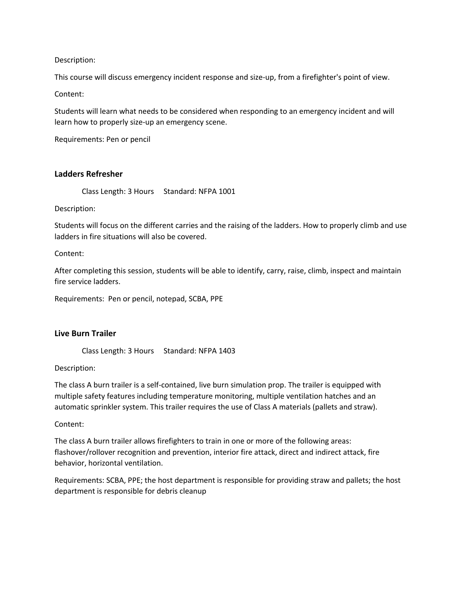This course will discuss emergency incident response and size-up, from a firefighter's point of view.

Content:

Students will learn what needs to be considered when responding to an emergency incident and will learn how to properly size-up an emergency scene.

Requirements: Pen or pencil

### **Ladders Refresher**

Class Length: 3 Hours Standard: NFPA 1001

Description:

Students will focus on the different carries and the raising of the ladders. How to properly climb and use ladders in fire situations will also be covered.

Content:

After completing this session, students will be able to identify, carry, raise, climb, inspect and maintain fire service ladders.

Requirements: Pen or pencil, notepad, SCBA, PPE

### **Live Burn Trailer**

Class Length: 3 Hours Standard: NFPA 1403

Description:

The class A burn trailer is a self-contained, live burn simulation prop. The trailer is equipped with multiple safety features including temperature monitoring, multiple ventilation hatches and an automatic sprinkler system. This trailer requires the use of Class A materials (pallets and straw).

Content:

The class A burn trailer allows firefighters to train in one or more of the following areas: flashover/rollover recognition and prevention, interior fire attack, direct and indirect attack, fire behavior, horizontal ventilation.

Requirements: SCBA, PPE; the host department is responsible for providing straw and pallets; the host department is responsible for debris cleanup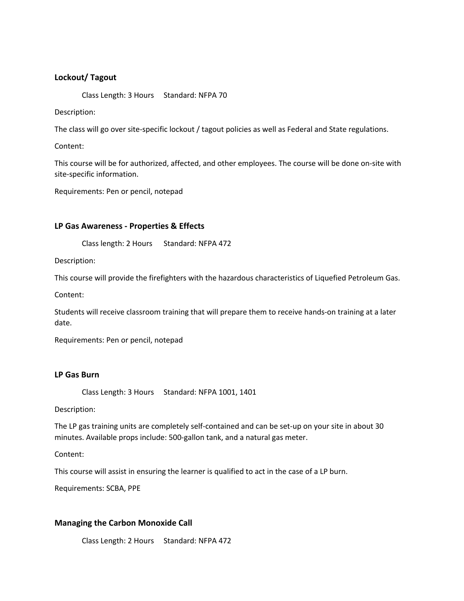### **Lockout/ Tagout**

Class Length: 3 Hours Standard: NFPA 70

Description:

The class will go over site-specific lockout / tagout policies as well as Federal and State regulations.

Content:

This course will be for authorized, affected, and other employees. The course will be done on-site with site-specific information.

Requirements: Pen or pencil, notepad

### **LP Gas Awareness - Properties & Effects**

Class length: 2 Hours Standard: NFPA 472

Description:

This course will provide the firefighters with the hazardous characteristics of Liquefied Petroleum Gas.

Content:

Students will receive classroom training that will prepare them to receive hands-on training at a later date.

Requirements: Pen or pencil, notepad

#### **LP Gas Burn**

Class Length: 3 Hours Standard: NFPA 1001, 1401

Description:

The LP gas training units are completely self-contained and can be set-up on your site in about 30 minutes. Available props include: 500-gallon tank, and a natural gas meter.

Content:

This course will assist in ensuring the learner is qualified to act in the case of a LP burn.

Requirements: SCBA, PPE

### **Managing the Carbon Monoxide Call**

Class Length: 2 Hours Standard: NFPA 472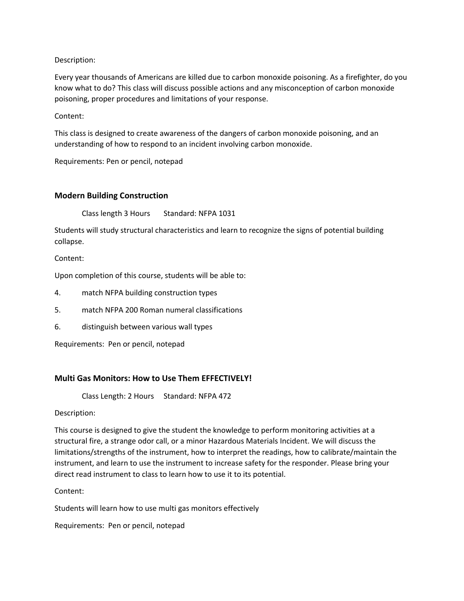Every year thousands of Americans are killed due to carbon monoxide poisoning. As a firefighter, do you know what to do? This class will discuss possible actions and any misconception of carbon monoxide poisoning, proper procedures and limitations of your response.

Content:

This class is designed to create awareness of the dangers of carbon monoxide poisoning, and an understanding of how to respond to an incident involving carbon monoxide.

Requirements: Pen or pencil, notepad

### **Modern Building Construction**

Class length 3 Hours Standard: NFPA 1031

Students will study structural characteristics and learn to recognize the signs of potential building collapse.

Content:

Upon completion of this course, students will be able to:

4. match NFPA building construction types

- 5. match NFPA 200 Roman numeral classifications
- 6. distinguish between various wall types

Requirements: Pen or pencil, notepad

#### **Multi Gas Monitors: How to Use Them EFFECTIVELY!**

Class Length: 2 Hours Standard: NFPA 472

Description:

This course is designed to give the student the knowledge to perform monitoring activities at a structural fire, a strange odor call, or a minor Hazardous Materials Incident. We will discuss the limitations/strengths of the instrument, how to interpret the readings, how to calibrate/maintain the instrument, and learn to use the instrument to increase safety for the responder. Please bring your direct read instrument to class to learn how to use it to its potential.

Content:

Students will learn how to use multi gas monitors effectively

Requirements: Pen or pencil, notepad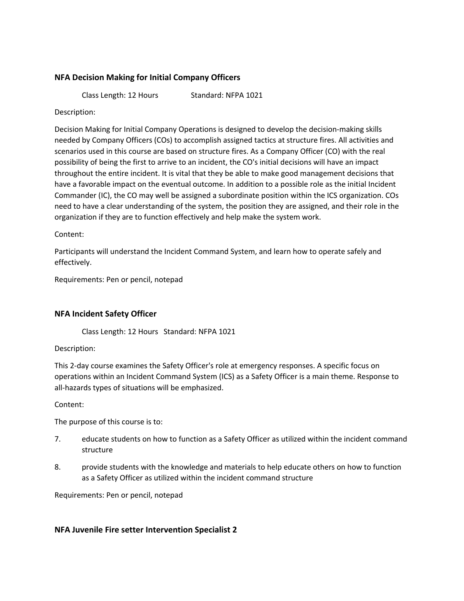# **NFA Decision Making for Initial Company Officers**

Class Length: 12 Hours Standard: NFPA 1021

Description:

Decision Making for Initial Company Operations is designed to develop the decision-making skills needed by Company Officers (COs) to accomplish assigned tactics at structure fires. All activities and scenarios used in this course are based on structure fires. As a Company Officer (CO) with the real possibility of being the first to arrive to an incident, the CO's initial decisions will have an impact throughout the entire incident. It is vital that they be able to make good management decisions that have a favorable impact on the eventual outcome. In addition to a possible role as the initial Incident Commander (IC), the CO may well be assigned a subordinate position within the ICS organization. COs need to have a clear understanding of the system, the position they are assigned, and their role in the organization if they are to function effectively and help make the system work.

Content:

Participants will understand the Incident Command System, and learn how to operate safely and effectively.

Requirements: Pen or pencil, notepad

### **NFA Incident Safety Officer**

Class Length: 12 Hours Standard: NFPA 1021

Description:

This 2-day course examines the Safety Officer's role at emergency responses. A specific focus on operations within an Incident Command System (ICS) as a Safety Officer is a main theme. Response to all-hazards types of situations will be emphasized.

Content:

The purpose of this course is to:

- 7. educate students on how to function as a Safety Officer as utilized within the incident command structure
- 8. provide students with the knowledge and materials to help educate others on how to function as a Safety Officer as utilized within the incident command structure

Requirements: Pen or pencil, notepad

### **NFA Juvenile Fire setter Intervention Specialist 2**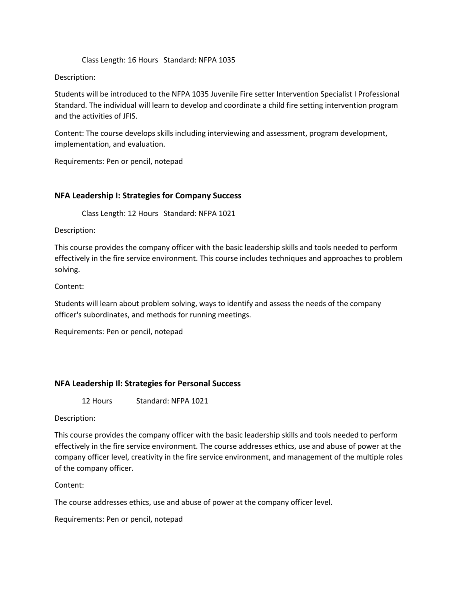#### Class Length: 16 Hours Standard: NFPA 1035

#### Description:

Students will be introduced to the NFPA 1035 Juvenile Fire setter Intervention Specialist I Professional Standard. The individual will learn to develop and coordinate a child fire setting intervention program and the activities of JFIS.

Content: The course develops skills including interviewing and assessment, program development, implementation, and evaluation.

Requirements: Pen or pencil, notepad

### **NFA Leadership I: Strategies for Company Success**

Class Length: 12 Hours Standard: NFPA 1021

Description:

This course provides the company officer with the basic leadership skills and tools needed to perform effectively in the fire service environment. This course includes techniques and approaches to problem solving.

Content:

Students will learn about problem solving, ways to identify and assess the needs of the company officer's subordinates, and methods for running meetings.

Requirements: Pen or pencil, notepad

### **NFA Leadership Il: Strategies for Personal Success**

12 Hours Standard: NFPA 1021

Description:

This course provides the company officer with the basic leadership skills and tools needed to perform effectively in the fire service environment. The course addresses ethics, use and abuse of power at the company officer level, creativity in the fire service environment, and management of the multiple roles of the company officer.

Content:

The course addresses ethics, use and abuse of power at the company officer level.

Requirements: Pen or pencil, notepad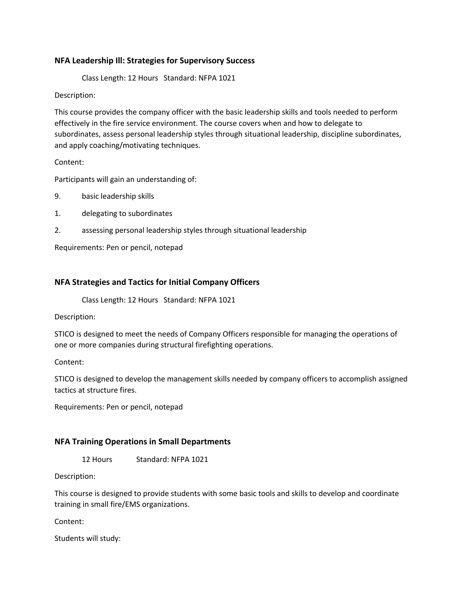### **NFA Leadership Ill: Strategies for Supervisory Success**

Class Length: 12 Hours Standard: NFPA 1021

Description:

This course provides the company officer with the basic leadership skills and tools needed to perform effectively in the fire service environment. The course covers when and how to delegate to subordinates, assess personal leadership styles through situational leadership, discipline subordinates, and apply coaching/motivating techniques.

Content:

Participants will gain an understanding of:

9. basic leadership skills

1. delegating to subordinates

2. assessing personal leadership styles through situational leadership

Requirements: Pen or pencil, notepad

### **NFA Strategies and Tactics for Initial Company Officers**

Class Length: 12 Hours Standard: NFPA 1021

Description:

STICO is designed to meet the needs of Company Officers responsible for managing the operations of one or more companies during structural firefighting operations.

Content:

STICO is designed to develop the management skills needed by company officers to accomplish assigned tactics at structure fires.

Requirements: Pen or pencil, notepad

### **NFA Training Operations in Small Departments**

12 Hours Standard: NFPA 1021

Description:

This course is designed to provide students with some basic tools and skills to develop and coordinate training in small fire/EMS organizations.

Content:

Students will study: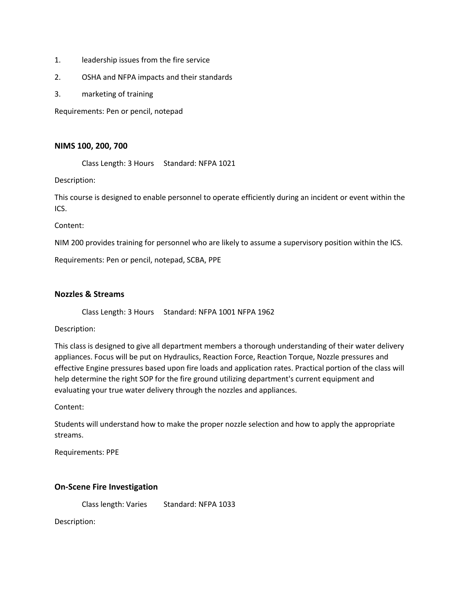- 1. leadership issues from the fire service
- 2. OSHA and NFPA impacts and their standards
- 3. marketing of training

Requirements: Pen or pencil, notepad

### **NIMS 100, 200, 700**

Class Length: 3 Hours Standard: NFPA 1021

Description:

This course is designed to enable personnel to operate efficiently during an incident or event within the ICS.

Content:

NIM 200 provides training for personnel who are likely to assume a supervisory position within the ICS.

Requirements: Pen or pencil, notepad, SCBA, PPE

### **Nozzles & Streams**

Class Length: 3 Hours Standard: NFPA 1001 NFPA 1962

Description:

This class is designed to give all department members a thorough understanding of their water delivery appliances. Focus will be put on Hydraulics, Reaction Force, Reaction Torque, Nozzle pressures and effective Engine pressures based upon fire loads and application rates. Practical portion of the class will help determine the right SOP for the fire ground utilizing department's current equipment and evaluating your true water delivery through the nozzles and appliances.

Content:

Students will understand how to make the proper nozzle selection and how to apply the appropriate streams.

Requirements: PPE

### **On-Scene Fire Investigation**

Class length: Varies Standard: NFPA 1033

Description: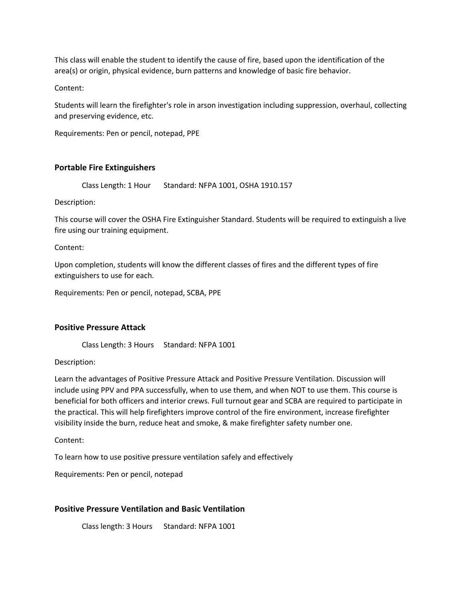This class will enable the student to identify the cause of fire, based upon the identification of the area(s) or origin, physical evidence, burn patterns and knowledge of basic fire behavior.

Content:

Students will learn the firefighter's role in arson investigation including suppression, overhaul, collecting and preserving evidence, etc.

Requirements: Pen or pencil, notepad, PPE

### **Portable Fire Extinguishers**

Class Length: 1 Hour Standard: NFPA 1001, OSHA 1910.157

Description:

This course will cover the OSHA Fire Extinguisher Standard. Students will be required to extinguish a live fire using our training equipment.

Content:

Upon completion, students will know the different classes of fires and the different types of fire extinguishers to use for each.

Requirements: Pen or pencil, notepad, SCBA, PPE

### **Positive Pressure Attack**

Class Length: 3 Hours Standard: NFPA 1001

Description:

Learn the advantages of Positive Pressure Attack and Positive Pressure Ventilation. Discussion will include using PPV and PPA successfully, when to use them, and when NOT to use them. This course is beneficial for both officers and interior crews. Full turnout gear and SCBA are required to participate in the practical. This will help firefighters improve control of the fire environment, increase firefighter visibility inside the burn, reduce heat and smoke, & make firefighter safety number one.

Content:

To learn how to use positive pressure ventilation safely and effectively

Requirements: Pen or pencil, notepad

### **Positive Pressure Ventilation and Basic Ventilation**

Class length: 3 Hours Standard: NFPA 1001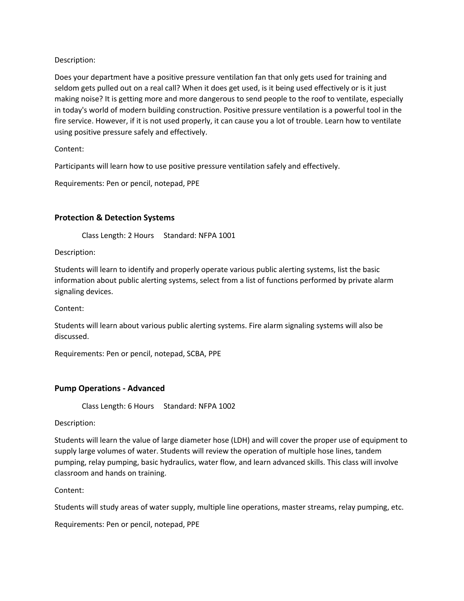Does your department have a positive pressure ventilation fan that only gets used for training and seldom gets pulled out on a real call? When it does get used, is it being used effectively or is it just making noise? It is getting more and more dangerous to send people to the roof to ventilate, especially in today's world of modern building construction. Positive pressure ventilation is a powerful tool in the fire service. However, if it is not used properly, it can cause you a lot of trouble. Learn how to ventilate using positive pressure safely and effectively.

Content:

Participants will learn how to use positive pressure ventilation safely and effectively.

Requirements: Pen or pencil, notepad, PPE

### **Protection & Detection Systems**

Class Length: 2 Hours Standard: NFPA 1001

Description:

Students will learn to identify and properly operate various public alerting systems, list the basic information about public alerting systems, select from a list of functions performed by private alarm signaling devices.

Content:

Students will learn about various public alerting systems. Fire alarm signaling systems will also be discussed.

Requirements: Pen or pencil, notepad, SCBA, PPE

### **Pump Operations - Advanced**

Class Length: 6 Hours Standard: NFPA 1002

Description:

Students will learn the value of large diameter hose (LDH) and will cover the proper use of equipment to supply large volumes of water. Students will review the operation of multiple hose lines, tandem pumping, relay pumping, basic hydraulics, water flow, and learn advanced skills. This class will involve classroom and hands on training.

Content:

Students will study areas of water supply, multiple line operations, master streams, relay pumping, etc.

Requirements: Pen or pencil, notepad, PPE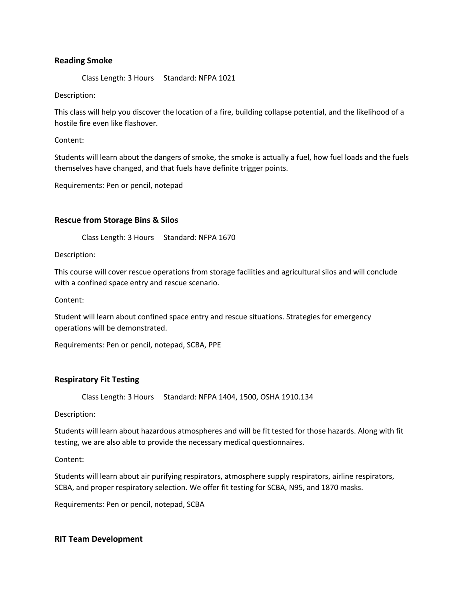### **Reading Smoke**

Class Length: 3 Hours Standard: NFPA 1021

Description:

This class will help you discover the location of a fire, building collapse potential, and the likelihood of a hostile fire even like flashover.

Content:

Students will learn about the dangers of smoke, the smoke is actually a fuel, how fuel loads and the fuels themselves have changed, and that fuels have definite trigger points.

Requirements: Pen or pencil, notepad

### **Rescue from Storage Bins & Silos**

Class Length: 3 Hours Standard: NFPA 1670

Description:

This course will cover rescue operations from storage facilities and agricultural silos and will conclude with a confined space entry and rescue scenario.

Content:

Student will learn about confined space entry and rescue situations. Strategies for emergency operations will be demonstrated.

Requirements: Pen or pencil, notepad, SCBA, PPE

### **Respiratory Fit Testing**

Class Length: 3 Hours Standard: NFPA 1404, 1500, OSHA 1910.134

Description:

Students will learn about hazardous atmospheres and will be fit tested for those hazards. Along with fit testing, we are also able to provide the necessary medical questionnaires.

Content:

Students will learn about air purifying respirators, atmosphere supply respirators, airline respirators, SCBA, and proper respiratory selection. We offer fit testing for SCBA, N95, and 1870 masks.

Requirements: Pen or pencil, notepad, SCBA

### **RIT Team Development**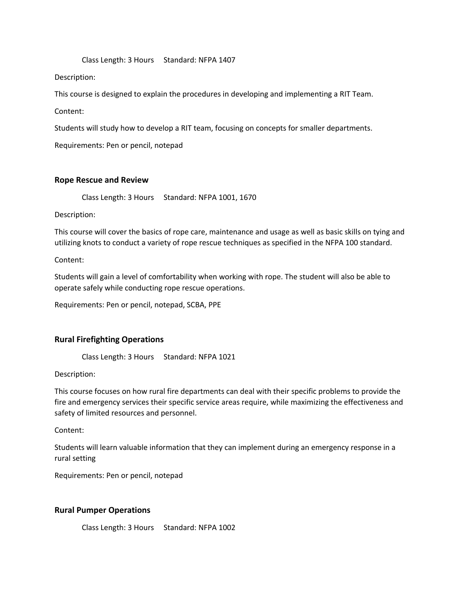#### Class Length: 3 Hours Standard: NFPA 1407

### Description:

This course is designed to explain the procedures in developing and implementing a RIT Team.

Content:

Students will study how to develop a RIT team, focusing on concepts for smaller departments.

Requirements: Pen or pencil, notepad

### **Rope Rescue and Review**

Class Length: 3 Hours Standard: NFPA 1001, 1670

Description:

This course will cover the basics of rope care, maintenance and usage as well as basic skills on tying and utilizing knots to conduct a variety of rope rescue techniques as specified in the NFPA 100 standard.

Content:

Students will gain a level of comfortability when working with rope. The student will also be able to operate safely while conducting rope rescue operations.

Requirements: Pen or pencil, notepad, SCBA, PPE

# **Rural Firefighting Operations**

Class Length: 3 Hours Standard: NFPA 1021

Description:

This course focuses on how rural fire departments can deal with their specific problems to provide the fire and emergency services their specific service areas require, while maximizing the effectiveness and safety of limited resources and personnel.

Content:

Students will learn valuable information that they can implement during an emergency response in a rural setting

Requirements: Pen or pencil, notepad

### **Rural Pumper Operations**

Class Length: 3 Hours Standard: NFPA 1002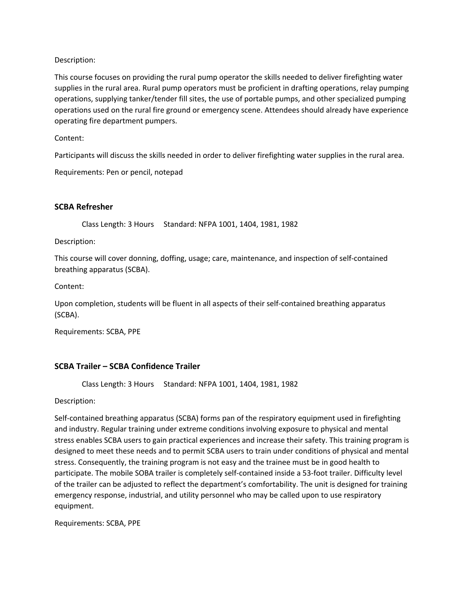This course focuses on providing the rural pump operator the skills needed to deliver firefighting water supplies in the rural area. Rural pump operators must be proficient in drafting operations, relay pumping operations, supplying tanker/tender fill sites, the use of portable pumps, and other specialized pumping operations used on the rural fire ground or emergency scene. Attendees should already have experience operating fire department pumpers.

Content:

Participants will discuss the skills needed in order to deliver firefighting water supplies in the rural area.

Requirements: Pen or pencil, notepad

### **SCBA Refresher**

Class Length: 3 Hours Standard: NFPA 1001, 1404, 1981, 1982

Description:

This course will cover donning, doffing, usage; care, maintenance, and inspection of self-contained breathing apparatus (SCBA).

Content:

Upon completion, students will be fluent in all aspects of their self-contained breathing apparatus (SCBA).

Requirements: SCBA, PPE

### **SCBA Trailer – SCBA Confidence Trailer**

Class Length: 3 Hours Standard: NFPA 1001, 1404, 1981, 1982

Description:

Self-contained breathing apparatus (SCBA) forms pan of the respiratory equipment used in firefighting and industry. Regular training under extreme conditions involving exposure to physical and mental stress enables SCBA users to gain practical experiences and increase their safety. This training program is designed to meet these needs and to permit SCBA users to train under conditions of physical and mental stress. Consequently, the training program is not easy and the trainee must be in good health to participate. The mobile SOBA trailer is completely self-contained inside a 53-foot trailer. Difficulty level of the trailer can be adjusted to reflect the department's comfortability. The unit is designed for training emergency response, industrial, and utility personnel who may be called upon to use respiratory equipment.

Requirements: SCBA, PPE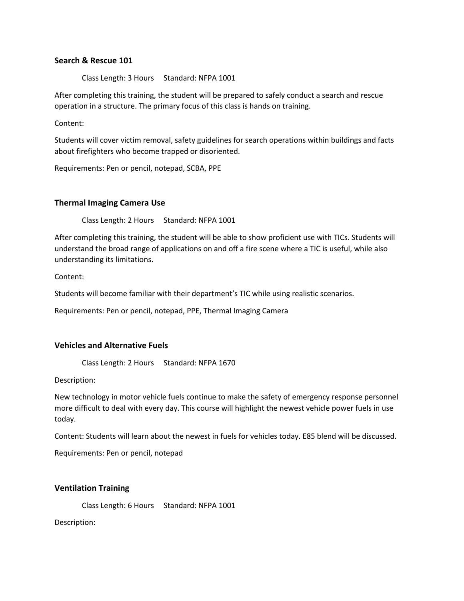### **Search & Rescue 101**

Class Length: 3 Hours Standard: NFPA 1001

After completing this training, the student will be prepared to safely conduct a search and rescue operation in a structure. The primary focus of this class is hands on training.

Content:

Students will cover victim removal, safety guidelines for search operations within buildings and facts about firefighters who become trapped or disoriented.

Requirements: Pen or pencil, notepad, SCBA, PPE

### **Thermal Imaging Camera Use**

Class Length: 2 Hours Standard: NFPA 1001

After completing this training, the student will be able to show proficient use with TICs. Students will understand the broad range of applications on and off a fire scene where a TIC is useful, while also understanding its limitations.

Content:

Students will become familiar with their department's TIC while using realistic scenarios.

Requirements: Pen or pencil, notepad, PPE, Thermal Imaging Camera

#### **Vehicles and Alternative Fuels**

Class Length: 2 Hours Standard: NFPA 1670

Description:

New technology in motor vehicle fuels continue to make the safety of emergency response personnel more difficult to deal with every day. This course will highlight the newest vehicle power fuels in use today.

Content: Students will learn about the newest in fuels for vehicles today. E85 blend will be discussed.

Requirements: Pen or pencil, notepad

#### **Ventilation Training**

Class Length: 6 Hours Standard: NFPA 1001

Description: